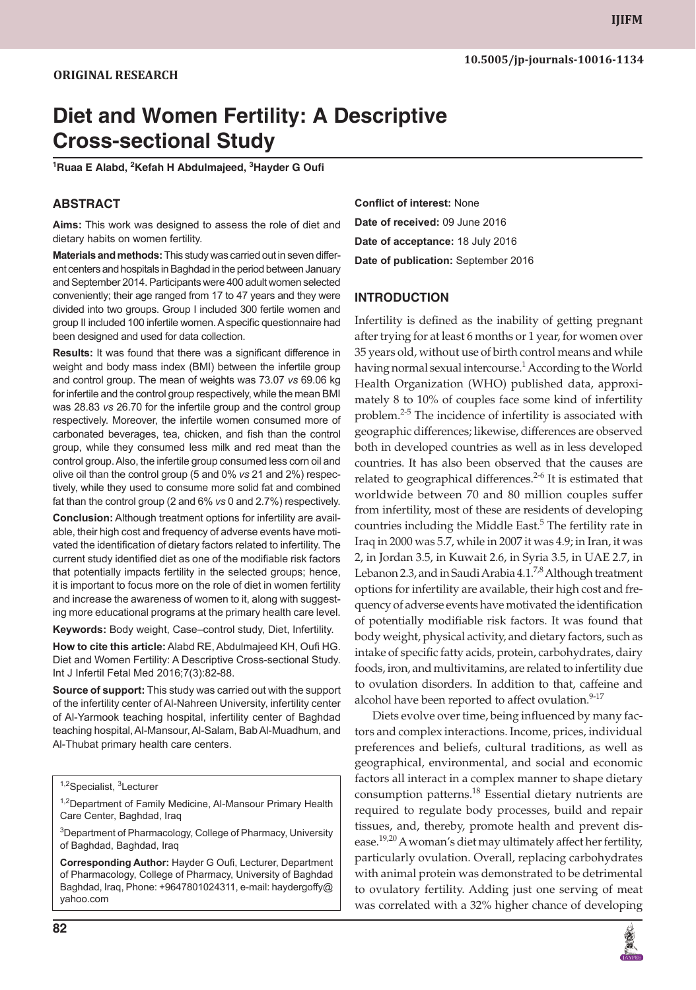# **Diet and Women Fertility: A Descriptive Cross-sectional Study**

**<sup>1</sup>Ruaa E Alabd, 2Kefah H Abdulmajeed, 3Hayder G Oufi**

# **ABSTRACT**

**Aims:** This work was designed to assess the role of diet and dietary habits on women fertility.

**Materials and methods:** This study was carried out in seven different centers and hospitals in Baghdad in the period between January and September 2014. Participants were 400 adult women selected conveniently; their age ranged from 17 to 47 years and they were divided into two groups. Group I included 300 fertile women and group II included 100 infertile women. A specific questionnaire had been designed and used for data collection.

**Results:** It was found that there was a significant difference in weight and body mass index (BMI) between the infertile group and control group. The mean of weights was 73.07 *vs* 69.06 kg for infertile and the control group respectively, while the mean BMI was 28.83 *vs* 26.70 for the infertile group and the control group respectively. Moreover, the infertile women consumed more of carbonated beverages, tea, chicken, and fish than the control group, while they consumed less milk and red meat than the control group. Also, the infertile group consumed less corn oil and olive oil than the control group (5 and 0% *vs* 21 and 2%) respectively, while they used to consume more solid fat and combined fat than the control group (2 and 6% *vs* 0 and 2.7%) respectively.

**Conclusion:** Although treatment options for infertility are available, their high cost and frequency of adverse events have motivated the identification of dietary factors related to infertility. The current study identified diet as one of the modifiable risk factors that potentially impacts fertility in the selected groups; hence, it is important to focus more on the role of diet in women fertility and increase the awareness of women to it, along with suggesting more educational programs at the primary health care level.

**Keywords:** Body weight, Case–control study, Diet, Infertility.

**How to cite this article:** Alabd RE, Abdulmajeed KH, Oufi HG. Diet and Women Fertility: A Descriptive Cross-sectional Study. Int J Infertil Fetal Med 2016;7(3):82-88.

**Source of support:** This study was carried out with the support of the infertility center of Al-Nahreen University, infertility center of Al-Yarmook teaching hospital, infertility center of Baghdad teaching hospital, Al-Mansour, Al-Salam, Bab Al-Muadhum, and Al-Thubat primary health care centers.

<sup>1,2</sup>Department of Family Medicine, Al-Mansour Primary Health Care Center, Baghdad, Iraq

<sup>3</sup>Department of Pharmacology, College of Pharmacy, University of Baghdad, Baghdad, Iraq

**Corresponding Author:** Hayder G Oufi, Lecturer, Department of Pharmacology, College of Pharmacy, University of Baghdad Baghdad, Iraq, Phone: +9647801024311, e-mail: haydergoffy@ yahoo.com

**Conflict of interest:** None **Date of received:** 09 June 2016 **Date of acceptance:** 18 July 2016 **Date of publication:** September 2016

#### **INTRODUCTION**

Infertility is defined as the inability of getting pregnant after trying for at least 6 months or 1 year, for women over 35 years old, without use of birth control means and while having normal sexual intercourse.<sup>1</sup> According to the World Health Organization (WHO) published data, approximately 8 to 10% of couples face some kind of infertility problem.<sup>2-5</sup> The incidence of infertility is associated with geographic differences; likewise, differences are observed both in developed countries as well as in less developed countries. It has also been observed that the causes are related to geographical differences.<sup>2-6</sup> It is estimated that worldwide between 70 and 80 million couples suffer from infertility, most of these are residents of developing countries including the Middle East.<sup>5</sup> The fertility rate in Iraq in 2000 was 5.7, while in 2007 it was 4.9; in Iran, it was 2, in Jordan 3.5, in Kuwait 2.6, in Syria 3.5, in UAE 2.7, in Lebanon 2.3, and in Saudi Arabia  $4.1<sup>7,8</sup>$  Although treatment options for infertility are available, their high cost and frequency of adverse events have motivated the identification of potentially modifiable risk factors. It was found that body weight, physical activity, and dietary factors, such as intake of specific fatty acids, protein, carbohydrates, dairy foods, iron, and multivitamins, are related to infertility due to ovulation disorders. In addition to that, caffeine and alcohol have been reported to affect ovulation.<sup>9-17</sup>

Diets evolve over time, being influenced by many factors and complex interactions. Income, prices, individual preferences and beliefs, cultural traditions, as well as geographical, environmental, and social and economic factors all interact in a complex manner to shape dietary consumption patterns.<sup>18</sup> Essential dietary nutrients are required to regulate body processes, build and repair tissues, and, thereby, promote health and prevent disease.<sup>19,20</sup> A woman's diet may ultimately affect her fertility, particularly ovulation. Overall, replacing carbohydrates with animal protein was demonstrated to be detrimental to ovulatory fertility. Adding just one serving of meat was correlated with a 32% higher chance of developing



<sup>1,2</sup>Specialist, <sup>3</sup>Lecturer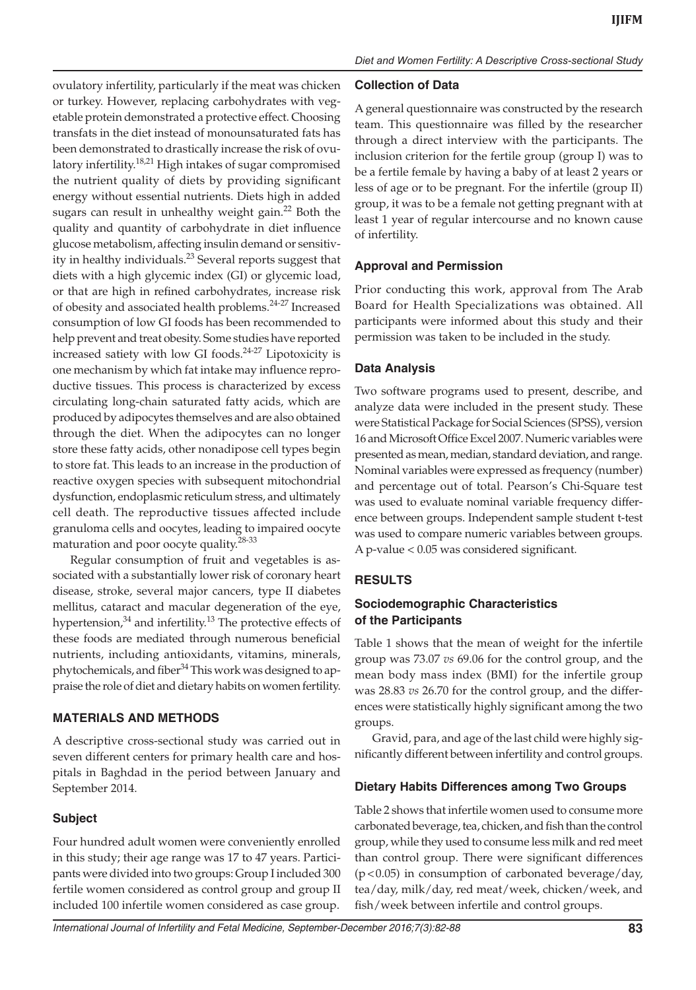ovulatory infertility, particularly if the meat was chicken or turkey. However, replacing carbohydrates with vegetable protein demonstrated a protective effect. Choosing transfats in the diet instead of monounsaturated fats has been demonstrated to drastically increase the risk of ovulatory infertility.18,21 High intakes of sugar compromised the nutrient quality of diets by providing significant energy without essential nutrients. Diets high in added sugars can result in unhealthy weight gain.<sup>22</sup> Both the quality and quantity of carbohydrate in diet influence glucose metabolism, affecting insulin demand or sensitivity in healthy individuals.<sup>23</sup> Several reports suggest that diets with a high glycemic index (GI) or glycemic load, or that are high in refined carbohydrates, increase risk of obesity and associated health problems.<sup>24-27</sup> Increased consumption of low GI foods has been recommended to help prevent and treat obesity. Some studies have reported increased satiety with low GI foods.24-27 Lipotoxicity is one mechanism by which fat intake may influence reproductive tissues. This process is characterized by excess circulating long-chain saturated fatty acids, which are produced by adipocytes themselves and are also obtained through the diet. When the adipocytes can no longer store these fatty acids, other nonadipose cell types begin to store fat. This leads to an increase in the production of reactive oxygen species with subsequent mitochondrial dysfunction, endoplasmic reticulum stress, and ultimately cell death. The reproductive tissues affected include granuloma cells and oocytes, leading to impaired oocyte maturation and poor oocyte quality.28-33

Regular consumption of fruit and vegetables is associated with a substantially lower risk of coronary heart disease, stroke, several major cancers, type II diabetes mellitus, cataract and macular degeneration of the eye, hypertension, $34$  and infertility.<sup>13</sup> The protective effects of these foods are mediated through numerous beneficial nutrients, including antioxidants, vitamins, minerals, phytochemicals, and fiber<sup>34</sup> This work was designed to appraise the role of diet and dietary habits on women fertility.

# **MATERIALS AND METHODS**

A descriptive cross-sectional study was carried out in seven different centers for primary health care and hospitals in Baghdad in the period between January and September 2014.

#### **Subject**

Four hundred adult women were conveniently enrolled in this study; their age range was 17 to 47 years. Participants were divided into two groups: Group I included 300 fertile women considered as control group and group II included 100 infertile women considered as case group.

#### **Collection of Data**

A general questionnaire was constructed by the research team. This questionnaire was filled by the researcher through a direct interview with the participants. The inclusion criterion for the fertile group (group I) was to be a fertile female by having a baby of at least 2 years or less of age or to be pregnant. For the infertile (group II) group, it was to be a female not getting pregnant with at least 1 year of regular intercourse and no known cause of infertility.

## **Approval and Permission**

Prior conducting this work, approval from The Arab Board for Health Specializations was obtained. All participants were informed about this study and their permission was taken to be included in the study.

## **Data Analysis**

Two software programs used to present, describe, and analyze data were included in the present study. These were Statistical Package for Social Sciences (SPSS), version 16 and Microsoft Office Excel 2007. Numeric variables were presented as mean, median, standard deviation, and range. Nominal variables were expressed as frequency (number) and percentage out of total. Pearson's Chi-Square test was used to evaluate nominal variable frequency difference between groups. Independent sample student t-test was used to compare numeric variables between groups. A p-value < 0.05 was considered significant.

# **RESULTS**

# **Sociodemographic Characteristics of the Participants**

Table 1 shows that the mean of weight for the infertile group was 73.07 *vs* 69.06 for the control group, and the mean body mass index (BMI) for the infertile group was 28.83 *vs* 26.70 for the control group, and the differences were statistically highly significant among the two groups.

Gravid, para, and age of the last child were highly significantly different between infertility and control groups.

#### **Dietary Habits Differences among Two Groups**

Table 2 shows that infertile women used to consume more carbonated beverage, tea, chicken, and fish than the control group, while they used to consume less milk and red meet than control group. There were significant differences (p < 0.05) in consumption of carbonated beverage/day, tea/day, milk/day, red meat/week, chicken/week, and fish/week between infertile and control groups.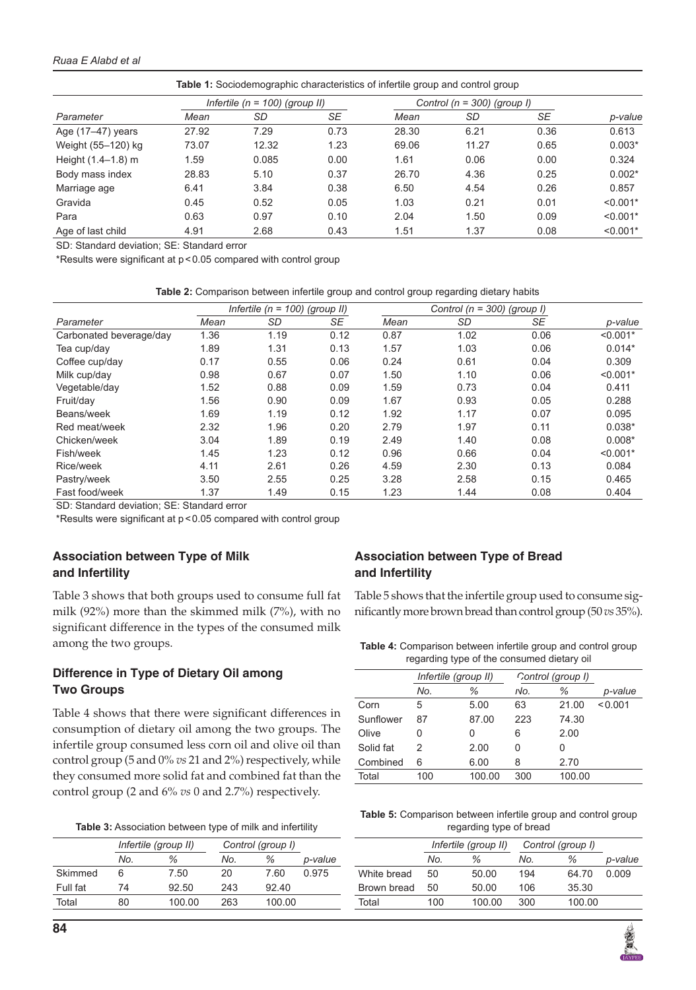#### *Ruaa E Alabd et al*

|                        |       |                                    |      | <b>Table 1:</b> Sociodemographic characteristics of infertile group and control group |                                 |      |            |
|------------------------|-------|------------------------------------|------|---------------------------------------------------------------------------------------|---------------------------------|------|------------|
|                        |       | Infertile ( $n = 100$ ) (group II) |      |                                                                                       | Control ( $n = 300$ ) (group I) |      |            |
| Parameter              | Mean  | SD                                 | SE   | Mean                                                                                  | SD                              | SE   | p-value    |
| Age (17-47) years      | 27.92 | 7.29                               | 0.73 | 28.30                                                                                 | 6.21                            | 0.36 | 0.613      |
| Weight (55-120) kg     | 73.07 | 12.32                              | 1.23 | 69.06                                                                                 | 11.27                           | 0.65 | $0.003*$   |
| Height $(1.4 - 1.8)$ m | 1.59  | 0.085                              | 0.00 | 1.61                                                                                  | 0.06                            | 0.00 | 0.324      |
| Body mass index        | 28.83 | 5.10                               | 0.37 | 26.70                                                                                 | 4.36                            | 0.25 | $0.002*$   |
| Marriage age           | 6.41  | 3.84                               | 0.38 | 6.50                                                                                  | 4.54                            | 0.26 | 0.857      |
| Gravida                | 0.45  | 0.52                               | 0.05 | 1.03                                                                                  | 0.21                            | 0.01 | $< 0.001*$ |
| Para                   | 0.63  | 0.97                               | 0.10 | 2.04                                                                                  | 1.50                            | 0.09 | $< 0.001*$ |
| Age of last child      | 4.91  | 2.68                               | 0.43 | 1.51                                                                                  | 1.37                            | 0.08 | $< 0.001*$ |

SD: Standard deviation; SE: Standard error

\*Results were significant at p < 0.05 compared with control group

| Table 2: Comparison between infertile group and control group regarding dietary habits |  |  |  |  |  |
|----------------------------------------------------------------------------------------|--|--|--|--|--|
|                                                                                        |  |  |  |  |  |

|                         |      | Infertile ( $n = 100$ ) (group II) |      |      | Control ( $n = 300$ ) (group I) |      |            |  |
|-------------------------|------|------------------------------------|------|------|---------------------------------|------|------------|--|
| Parameter               | Mean | SD                                 | SE   | Mean | SD                              | SE   | p-value    |  |
| Carbonated beverage/day | 1.36 | 1.19                               | 0.12 | 0.87 | 1.02                            | 0.06 | $< 0.001*$ |  |
| Tea cup/day             | 1.89 | 1.31                               | 0.13 | 1.57 | 1.03                            | 0.06 | $0.014*$   |  |
| Coffee cup/day          | 0.17 | 0.55                               | 0.06 | 0.24 | 0.61                            | 0.04 | 0.309      |  |
| Milk cup/day            | 0.98 | 0.67                               | 0.07 | 1.50 | 1.10                            | 0.06 | $< 0.001*$ |  |
| Vegetable/day           | 1.52 | 0.88                               | 0.09 | 1.59 | 0.73                            | 0.04 | 0.411      |  |
| Fruit/day               | 1.56 | 0.90                               | 0.09 | 1.67 | 0.93                            | 0.05 | 0.288      |  |
| Beans/week              | 1.69 | 1.19                               | 0.12 | 1.92 | 1.17                            | 0.07 | 0.095      |  |
| Red meat/week           | 2.32 | 1.96                               | 0.20 | 2.79 | 1.97                            | 0.11 | $0.038*$   |  |
| Chicken/week            | 3.04 | 1.89                               | 0.19 | 2.49 | 1.40                            | 0.08 | $0.008*$   |  |
| Fish/week               | 1.45 | 1.23                               | 0.12 | 0.96 | 0.66                            | 0.04 | $< 0.001*$ |  |
| Rice/week               | 4.11 | 2.61                               | 0.26 | 4.59 | 2.30                            | 0.13 | 0.084      |  |
| Pastry/week             | 3.50 | 2.55                               | 0.25 | 3.28 | 2.58                            | 0.15 | 0.465      |  |
| Fast food/week          | 1.37 | 1.49                               | 0.15 | 1.23 | 1.44                            | 0.08 | 0.404      |  |

SD: Standard deviation; SE: Standard error

\*Results were significant at p < 0.05 compared with control group

# **Association between Type of Milk and Infertility**

Table 3 shows that both groups used to consume full fat milk (92%) more than the skimmed milk (7%), with no significant difference in the types of the consumed milk among the two groups.

# **Difference in Type of Dietary Oil among Two Groups**

Table 4 shows that there were significant differences in consumption of dietary oil among the two groups. The infertile group consumed less corn oil and olive oil than control group (5 and 0% *vs* 21 and 2%) respectively, while they consumed more solid fat and combined fat than the control group (2 and 6% *vs* 0 and 2.7%) respectively.

|          | Infertile (group II) |        | Control (group I) |        |         |
|----------|----------------------|--------|-------------------|--------|---------|
|          | No.                  | %      | No.               | %      | p-value |
| Skimmed  | 6                    | 7.50   | 20                | 7.60   | 0.975   |
| Full fat | 74                   | 92.50  | 243               | 92,40  |         |
| Total    | 80                   | 100.00 | 263               | 100.00 |         |
|          |                      |        |                   |        |         |

# **Association between Type of Bread and Infertility**

Table 5 shows that the infertile group used to consume significantly more brown bread than control group (50 *vs* 35%).

| <b>Table 4:</b> Comparison between infertile group and control group |
|----------------------------------------------------------------------|
| regarding type of the consumed dietary oil                           |

|           | Infertile (group II) |        | Control (group I) |        |         |
|-----------|----------------------|--------|-------------------|--------|---------|
|           | No.                  | ℅      | NO.               | ℅      | p-value |
| Corn      | 5                    | 5.00   | 63                | 21.00  | < 0.001 |
| Sunflower | 87                   | 87.00  | 223               | 74.30  |         |
| Olive     | Ω                    | 0      | 6                 | 2.00   |         |
| Solid fat | 2                    | 2.00   | 0                 | Ω      |         |
| Combined  | 6                    | 6.00   | 8                 | 2.70   |         |
| Total     | 100                  | 100.00 | 300               | 100.00 |         |

**Table 5:** Comparison between infertile group and control group regarding type of bread

|             | Infertile (group II) |        | Control (group I) |        |         |
|-------------|----------------------|--------|-------------------|--------|---------|
|             | No.                  | ℅      | No.               | %      | p-value |
| White bread | 50                   | 50.00  | 194               | 64.70  | 0.009   |
| Brown bread | 50                   | 50.00  | 106               | 35.30  |         |
| Total       | 100                  | 100.00 | 300               | 100.00 |         |

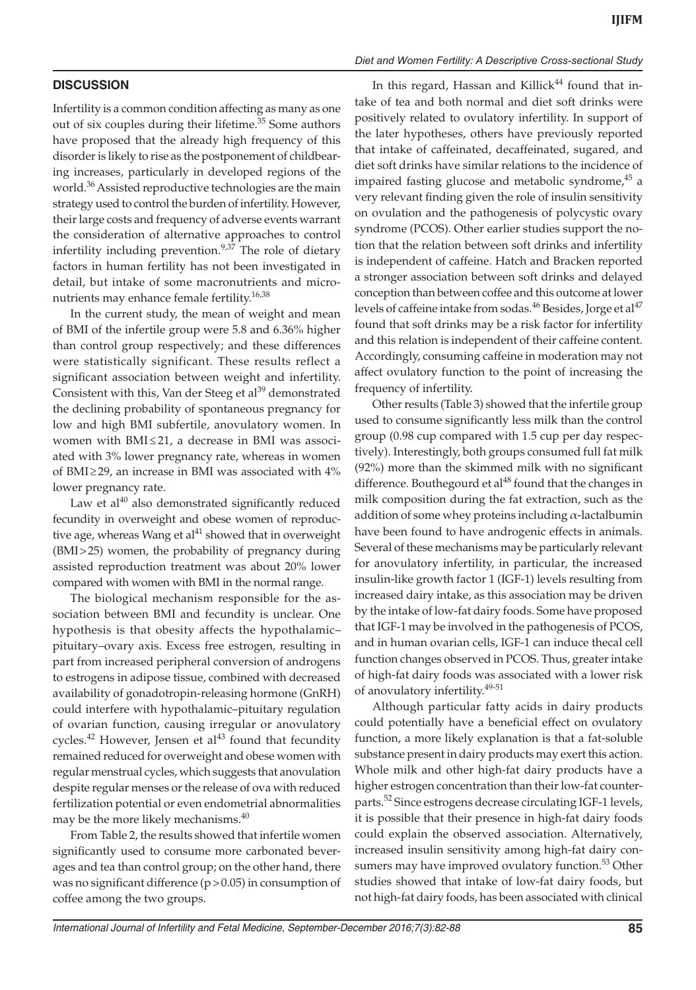## **DISCUSSION**

Infertility is a common condition affecting as many as one out of six couples during their lifetime.<sup>35</sup> Some authors have proposed that the already high frequency of this disorder is likely to rise as the postponement of childbearing increases, particularly in developed regions of the world.<sup>36</sup> Assisted reproductive technologies are the main strategy used to control the burden of infertility. However, their large costs and frequency of adverse events warrant the consideration of alternative approaches to control infertility including prevention.<sup>9,37</sup> The role of dietary factors in human fertility has not been investigated in detail, but intake of some macronutrients and micronutrients may enhance female fertility.<sup>16,38</sup>

In the current study, the mean of weight and mean of BMI of the infertile group were 5.8 and 6.36% higher than control group respectively; and these differences were statistically significant. These results reflect a significant association between weight and infertility. Consistent with this, Van der Steeg et al $^{39}$  demonstrated the declining probability of spontaneous pregnancy for low and high BMI subfertile, anovulatory women. In women with  $BMI \leq 21$ , a decrease in BMI was associated with 3% lower pregnancy rate, whereas in women of BMI $\geq$ 29, an increase in BMI was associated with 4% lower pregnancy rate.

Law et al $40$  also demonstrated significantly reduced fecundity in overweight and obese women of reproductive age, whereas Wang et al<sup>41</sup> showed that in overweight (BMI > 25) women, the probability of pregnancy during assisted reproduction treatment was about 20% lower compared with women with BMI in the normal range.

The biological mechanism responsible for the association between BMI and fecundity is unclear. One hypothesis is that obesity affects the hypothalamic– pituitary–ovary axis. Excess free estrogen, resulting in part from increased peripheral conversion of androgens to estrogens in adipose tissue, combined with decreased availability of gonadotropin-releasing hormone (GnRH) could interfere with hypothalamic–pituitary regulation of ovarian function, causing irregular or anovulatory cycles.<sup>42</sup> However, Jensen et al<sup>43</sup> found that fecundity remained reduced for overweight and obese women with regular menstrual cycles, which suggests that anovulation despite regular menses or the release of ova with reduced fertilization potential or even endometrial abnormalities may be the more likely mechanisms.<sup>40</sup>

From Table 2, the results showed that infertile women significantly used to consume more carbonated beverages and tea than control group; on the other hand, there was no significant difference  $(p > 0.05)$  in consumption of coffee among the two groups.

# *Diet and Women Fertility: A Descriptive Cross-sectional Study*

In this regard, Hassan and Killick $44$  found that intake of tea and both normal and diet soft drinks were positively related to ovulatory infertility. In support of the later hypotheses, others have previously reported that intake of caffeinated, decaffeinated, sugared, and diet soft drinks have similar relations to the incidence of impaired fasting glucose and metabolic syndrome,<sup>45</sup> a very relevant finding given the role of insulin sensitivity on ovulation and the pathogenesis of polycystic ovary syndrome (PCOS). Other earlier studies support the notion that the relation between soft drinks and infertility is independent of caffeine. Hatch and Bracken reported a stronger association between soft drinks and delayed conception than between coffee and this outcome at lower levels of caffeine intake from sodas.<sup>46</sup> Besides, Jorge et al<sup>47</sup> found that soft drinks may be a risk factor for infertility and this relation is independent of their caffeine content. Accordingly, consuming caffeine in moderation may not affect ovulatory function to the point of increasing the frequency of infertility.

Other results (Table 3) showed that the infertile group used to consume significantly less milk than the control group (0.98 cup compared with 1.5 cup per day respectively). Interestingly, both groups consumed full fat milk (92%) more than the skimmed milk with no significant difference. Bouthegourd et al $^{48}$  found that the changes in milk composition during the fat extraction, such as the addition of some whey proteins including  $\alpha$ -lactalbumin have been found to have androgenic effects in animals. Several of these mechanisms may be particularly relevant for anovulatory infertility, in particular, the increased insulin-like growth factor 1 (IGF-1) levels resulting from increased dairy intake, as this association may be driven by the intake of low-fat dairy foods. Some have proposed that IGF-1 may be involved in the pathogenesis of PCOS, and in human ovarian cells, IGF-1 can induce thecal cell function changes observed in PCOS. Thus, greater intake of high-fat dairy foods was associated with a lower risk of anovulatory infertility.49-51

Although particular fatty acids in dairy products could potentially have a beneficial effect on ovulatory function, a more likely explanation is that a fat-soluble substance present in dairy products may exert this action. Whole milk and other high-fat dairy products have a higher estrogen concentration than their low-fat counterparts.<sup>52</sup> Since estrogens decrease circulating IGF-1 levels, it is possible that their presence in high-fat dairy foods could explain the observed association. Alternatively, increased insulin sensitivity among high-fat dairy consumers may have improved ovulatory function.<sup>53</sup> Other studies showed that intake of low-fat dairy foods, but not high-fat dairy foods, has been associated with clinical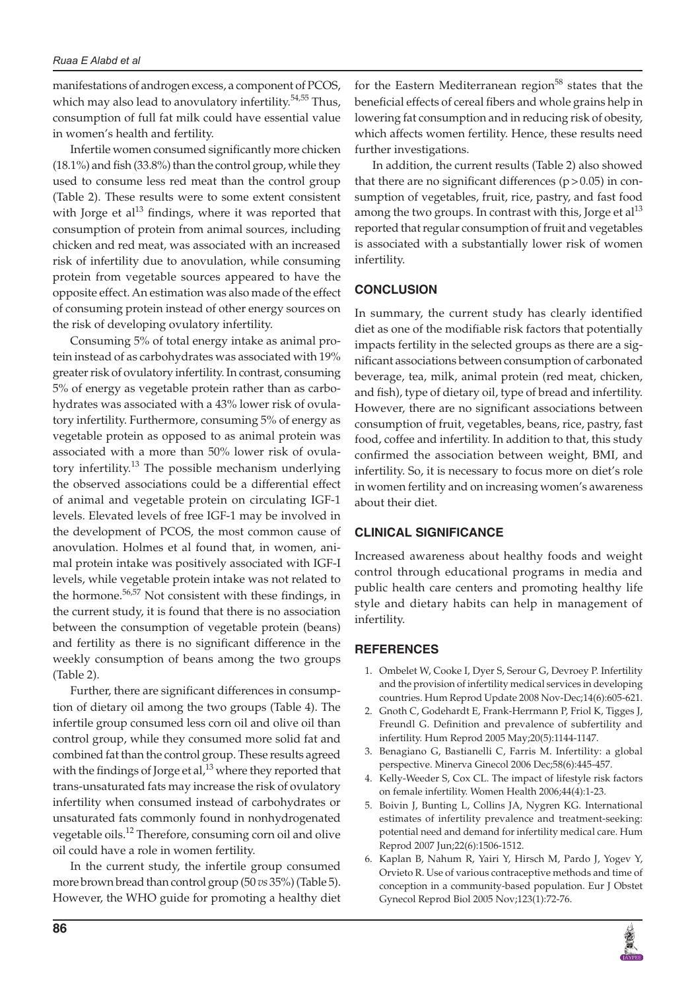#### *Ruaa E Alabd et al*

manifestations of androgen excess, a component of PCOS, which may also lead to anovulatory infertility.<sup>54,55</sup> Thus, consumption of full fat milk could have essential value in women's health and fertility.

Infertile women consumed significantly more chicken (18.1%) and fish (33.8%) than the control group, while they used to consume less red meat than the control group (Table 2). These results were to some extent consistent with Jorge et al $^{13}$  findings, where it was reported that consumption of protein from animal sources, including chicken and red meat, was associated with an increased risk of infertility due to anovulation, while consuming protein from vegetable sources appeared to have the opposite effect. An estimation was also made of the effect of consuming protein instead of other energy sources on the risk of developing ovulatory infertility.

Consuming 5% of total energy intake as animal protein instead of as carbohydrates was associated with 19% greater risk of ovulatory infertility. In contrast, consuming 5% of energy as vegetable protein rather than as carbohydrates was associated with a 43% lower risk of ovulatory infertility. Furthermore, consuming 5% of energy as vegetable protein as opposed to as animal protein was associated with a more than 50% lower risk of ovulatory infertility.<sup>13</sup> The possible mechanism underlying the observed associations could be a differential effect of animal and vegetable protein on circulating IGF-1 levels. Elevated levels of free IGF-1 may be involved in the development of PCOS, the most common cause of anovulation. Holmes et al found that, in women, animal protein intake was positively associated with IGF-I levels, while vegetable protein intake was not related to the hormone.<sup>56,57</sup> Not consistent with these findings, in the current study, it is found that there is no association between the consumption of vegetable protein (beans) and fertility as there is no significant difference in the weekly consumption of beans among the two groups (Table 2).

Further, there are significant differences in consumption of dietary oil among the two groups (Table 4). The infertile group consumed less corn oil and olive oil than control group, while they consumed more solid fat and combined fat than the control group. These results agreed with the findings of Jorge et al, $^{13}$  where they reported that trans-unsaturated fats may increase the risk of ovulatory infertility when consumed instead of carbohydrates or unsaturated fats commonly found in nonhydrogenated vegetable oils.<sup>12</sup> Therefore, consuming corn oil and olive oil could have a role in women fertility.

In the current study, the infertile group consumed more brown bread than control group (50 *vs* 35%) (Table 5). However, the WHO guide for promoting a healthy diet for the Eastern Mediterranean region<sup>58</sup> states that the beneficial effects of cereal fibers and whole grains help in lowering fat consumption and in reducing risk of obesity, which affects women fertility. Hence, these results need further investigations.

In addition, the current results (Table 2) also showed that there are no significant differences  $(p > 0.05)$  in consumption of vegetables, fruit, rice, pastry, and fast food among the two groups. In contrast with this, Jorge et al<sup>13</sup> reported that regular consumption of fruit and vegetables is associated with a substantially lower risk of women infertility.

# **CONCLUSION**

In summary, the current study has clearly identified diet as one of the modifiable risk factors that potentially impacts fertility in the selected groups as there are a significant associations between consumption of carbonated beverage, tea, milk, animal protein (red meat, chicken, and fish), type of dietary oil, type of bread and infertility. However, there are no significant associations between consumption of fruit, vegetables, beans, rice, pastry, fast food, coffee and infertility. In addition to that, this study confirmed the association between weight, BMI, and infertility. So, it is necessary to focus more on diet's role in women fertility and on increasing women's awareness about their diet.

#### **CLINICAL SIGNIFICANCE**

Increased awareness about healthy foods and weight control through educational programs in media and public health care centers and promoting healthy life style and dietary habits can help in management of infertility.

#### **REFERENCES**

- 1. Ombelet W, Cooke I, Dyer S, Serour G, Devroey P. Infertility and the provision of infertility medical services in developing countries. Hum Reprod Update 2008 Nov-Dec;14(6):605-621.
- 2. Gnoth C, Godehardt E, Frank-Herrmann P, Friol K, Tigges J, Freundl G. Definition and prevalence of subfertility and infertility. Hum Reprod 2005 May;20(5):1144-1147.
- 3. Benagiano G, Bastianelli C, Farris M. Infertility: a global perspective. Minerva Ginecol 2006 Dec;58(6):445-457.
- 4. Kelly-Weeder S, Cox CL. The impact of lifestyle risk factors on female infertility. Women Health 2006;44(4):1-23.
- 5. Boivin J, Bunting L, Collins JA, Nygren KG. International estimates of infertility prevalence and treatment-seeking: potential need and demand for infertility medical care. Hum Reprod 2007 Jun;22(6):1506-1512.
- 6. Kaplan B, Nahum R, Yairi Y, Hirsch M, Pardo J, Yogev Y, Orvieto R. Use of various contraceptive methods and time of conception in a community-based population. Eur J Obstet Gynecol Reprod Biol 2005 Nov;123(1):72-76.

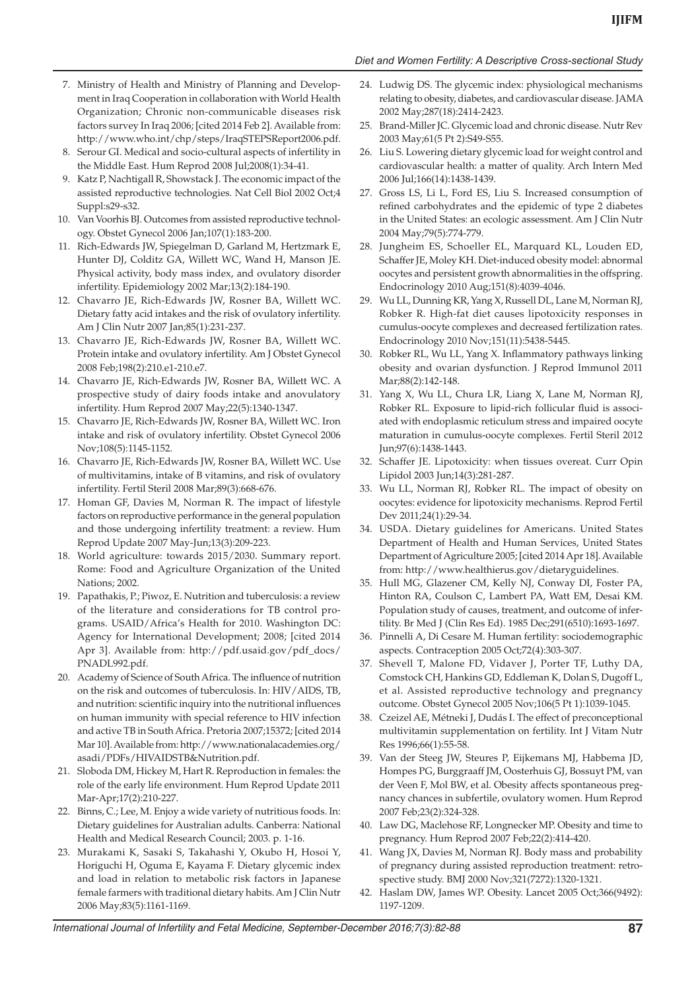#### *Diet and Women Fertility: A Descriptive Cross-sectional Study*

- 7. Ministry of Health and Ministry of Planning and Development in Iraq Cooperation in collaboration with World Health Organization; Chronic non-communicable diseases risk factors survey In Iraq 2006; [cited 2014 Feb 2]. Available from: http://www.who.int/chp/steps/IraqSTEPSReport2006.pdf.
- 8. Serour GI. Medical and socio-cultural aspects of infertility in the Middle East. Hum Reprod 2008 Jul;2008(1):34-41.
- 9. Katz P, Nachtigall R, Showstack J. The economic impact of the assisted reproductive technologies. Nat Cell Biol 2002 Oct;4 Suppl:s29-s32.
- 10. Van Voorhis BJ. Outcomes from assisted reproductive technology. Obstet Gynecol 2006 Jan;107(1):183-200.
- 11. Rich-Edwards JW, Spiegelman D, Garland M, Hertzmark E, Hunter DJ, Colditz GA, Willett WC, Wand H, Manson JE. Physical activity, body mass index, and ovulatory disorder infertility. Epidemiology 2002 Mar;13(2):184-190.
- 12. Chavarro JE, Rich-Edwards JW, Rosner BA, Willett WC. Dietary fatty acid intakes and the risk of ovulatory infertility. Am J Clin Nutr 2007 Jan;85(1):231-237.
- 13. Chavarro JE, Rich-Edwards JW, Rosner BA, Willett WC. Protein intake and ovulatory infertility. Am J Obstet Gynecol 2008 Feb;198(2):210.e1-210.e7.
- 14. Chavarro JE, Rich-Edwards JW, Rosner BA, Willett WC. A prospective study of dairy foods intake and anovulatory infertility. Hum Reprod 2007 May;22(5):1340-1347.
- 15. Chavarro JE, Rich-Edwards JW, Rosner BA, Willett WC. Iron intake and risk of ovulatory infertility. Obstet Gynecol 2006 Nov;108(5):1145-1152.
- 16. Chavarro JE, Rich-Edwards JW, Rosner BA, Willett WC. Use of multivitamins, intake of B vitamins, and risk of ovulatory infertility. Fertil Steril 2008 Mar;89(3):668-676.
- 17. Homan GF, Davies M, Norman R. The impact of lifestyle factors on reproductive performance in the general population and those undergoing infertility treatment: a review. Hum Reprod Update 2007 May-Jun;13(3):209-223.
- 18. World agriculture: towards 2015/2030. Summary report. Rome: Food and Agriculture Organization of the United Nations; 2002.
- 19. Papathakis, P.; Piwoz, E. Nutrition and tuberculosis: a review of the literature and considerations for TB control programs. USAID/Africa's Health for 2010. Washington DC: Agency for International Development; 2008; [cited 2014 Apr 3]. Available from: http://pdf.usaid.gov/pdf\_docs/ PNADL992.pdf.
- 20. Academy of Science of South Africa. The influence of nutrition on the risk and outcomes of tuberculosis. In: HIV/AIDS, TB, and nutrition: scientific inquiry into the nutritional influences on human immunity with special reference to HIV infection and active TB in South Africa. Pretoria 2007;15372; [cited 2014 Mar 10]. Available from: http://www.nationalacademies.org/ asadi/PDFs/HIVAIDSTB&Nutrition.pdf.
- 21. Sloboda DM, Hickey M, Hart R. Reproduction in females: the role of the early life environment. Hum Reprod Update 2011 Mar-Apr;17(2):210-227.
- 22. Binns, C.; Lee, M. Enjoy a wide variety of nutritious foods. In: Dietary guidelines for Australian adults. Canberra: National Health and Medical Research Council; 2003. p. 1-16.
- 23. Murakami K, Sasaki S, Takahashi Y, Okubo H, Hosoi Y, Horiguchi H, Oguma E, Kayama F. Dietary glycemic index and load in relation to metabolic risk factors in Japanese female farmers with traditional dietary habits. Am J Clin Nutr 2006 May;83(5):1161-1169.
- 24. Ludwig DS. The glycemic index: physiological mechanisms relating to obesity, diabetes, and cardiovascular disease. JAMA 2002 May;287(18):2414-2423.
- 25. Brand-Miller JC. Glycemic load and chronic disease. Nutr Rev 2003 May;61(5 Pt 2):S49-S55.
- 26. Liu S. Lowering dietary glycemic load for weight control and cardiovascular health: a matter of quality. Arch Intern Med 2006 Jul;166(14):1438-1439.
- 27. Gross LS, Li L, Ford ES, Liu S. Increased consumption of refined carbohydrates and the epidemic of type 2 diabetes in the United States: an ecologic assessment. Am J Clin Nutr 2004 May;79(5):774-779.
- 28. Jungheim ES, Schoeller EL, Marquard KL, Louden ED, Schaffer JE, Moley KH. Diet-induced obesity model: abnormal oocytes and persistent growth abnormalities in the offspring. Endocrinology 2010 Aug;151(8):4039-4046.
- 29. Wu LL, Dunning KR, Yang X, Russell DL, Lane M, Norman RJ, Robker R. High-fat diet causes lipotoxicity responses in cumulus-oocyte complexes and decreased fertilization rates. Endocrinology 2010 Nov;151(11):5438-5445.
- 30. Robker RL, Wu LL, Yang X. Inflammatory pathways linking obesity and ovarian dysfunction. J Reprod Immunol 2011 Mar;88(2):142-148.
- 31. Yang X, Wu LL, Chura LR, Liang X, Lane M, Norman RJ, Robker RL. Exposure to lipid-rich follicular fluid is associated with endoplasmic reticulum stress and impaired oocyte maturation in cumulus-oocyte complexes. Fertil Steril 2012 Jun;97(6):1438-1443.
- 32. Schaffer JE. Lipotoxicity: when tissues overeat. Curr Opin Lipidol 2003 Jun;14(3):281-287.
- 33. Wu LL, Norman RJ, Robker RL. The impact of obesity on oocytes: evidence for lipotoxicity mechanisms. Reprod Fertil Dev 2011;24(1):29-34.
- 34. USDA. Dietary guidelines for Americans. United States Department of Health and Human Services, United States Department of Agriculture 2005; [cited 2014 Apr 18]. Available from: http://www.healthierus.gov/dietaryguidelines.
- 35. Hull MG, Glazener CM, Kelly NJ, Conway DI, Foster PA, Hinton RA, Coulson C, Lambert PA, Watt EM, Desai KM. Population study of causes, treatment, and outcome of infertility. Br Med J (Clin Res Ed). 1985 Dec;291(6510):1693-1697.
- 36. Pinnelli A, Di Cesare M. Human fertility: sociodemographic aspects. Contraception 2005 Oct;72(4):303-307.
- 37. Shevell T, Malone FD, Vidaver J, Porter TF, Luthy DA, Comstock CH, Hankins GD, Eddleman K, Dolan S, Dugoff L, et al. Assisted reproductive technology and pregnancy outcome. Obstet Gynecol 2005 Nov;106(5 Pt 1):1039-1045.
- 38. Czeizel AE, Métneki J, Dudás I. The effect of preconceptional multivitamin supplementation on fertility. Int J Vitam Nutr Res 1996;66(1):55-58.
- 39. Van der Steeg JW, Steures P, Eijkemans MJ, Habbema JD, Hompes PG, Burggraaff JM, Oosterhuis GJ, Bossuyt PM, van der Veen F, Mol BW, et al. Obesity affects spontaneous pregnancy chances in subfertile, ovulatory women. Hum Reprod 2007 Feb;23(2):324-328.
- 40. Law DG, Maclehose RF, Longnecker MP. Obesity and time to pregnancy. Hum Reprod 2007 Feb;22(2):414-420.
- 41. Wang JX, Davies M, Norman RJ. Body mass and probability of pregnancy during assisted reproduction treatment: retrospective study. BMJ 2000 Nov;321(7272):1320-1321.
- 42. Haslam DW, James WP. Obesity. Lancet 2005 Oct;366(9492): 1197-1209.